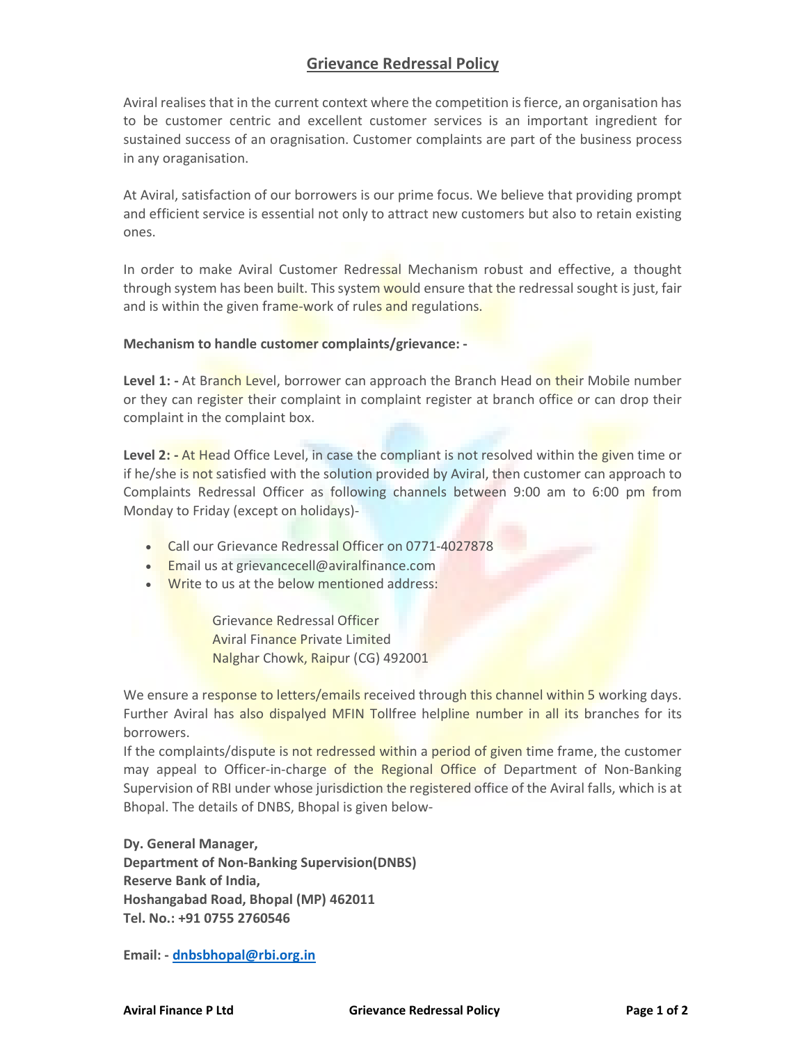## Grievance Redressal Policy

Aviral realises that in the current context where the competition is fierce, an organisation has to be customer centric and excellent customer services is an important ingredient for sustained success of an oragnisation. Customer complaints are part of the business process in any oraganisation.

At Aviral, satisfaction of our borrowers is our prime focus. We believe that providing prompt and efficient service is essential not only to attract new customers but also to retain existing ones.

In order to make Aviral Customer Redressal Mechanism robust and effective, a thought through system has been built. This system would ensure that the redressal sought is just, fair and is within the given frame-work of rules and regulations.

## Mechanism to handle customer complaints/grievance: -

Level 1: - At Branch Level, borrower can approach the Branch Head on their Mobile number or they can register their complaint in complaint register at branch office or can drop their complaint in the complaint box.

Level 2: - At Head Office Level, in case the compliant is not resolved within the given time or if he/she is not satisfied with the solution provided by Aviral, then customer can approach to Complaints Redressal Officer as following channels between 9:00 am to 6:00 pm from Monday to Friday (except on holidays)-

- Call our Grievance Redressal Officer on 0771-4027878
- **Email us at grievancecell@aviralfinance.com**
- . Write to us at the below mentioned address:

Grievance Redressal Officer Aviral Finance Private Limited Nalghar Chowk, Raipur (CG) 492001

We ensure a response to letters/emails received through this channel within 5 working days. Further Aviral has also dispalyed MFIN Tollfree helpline number in all its branches for its borrowers.

If the complaints/dispute is not redressed within a period of given time frame, the customer may appeal to Officer-in-charge of the Regional Office of Department of Non-Banking Supervision of RBI under whose jurisdiction the registered office of the Aviral falls, which is at Bhopal. The details of DNBS, Bhopal is given below-

Dy. General Manager, Department of Non-Banking Supervision(DNBS) Reserve Bank of India, Hoshangabad Road, Bhopal (MP) 462011 Tel. No.: +91 0755 2760546

Email: - dnbsbhopal@rbi.org.in